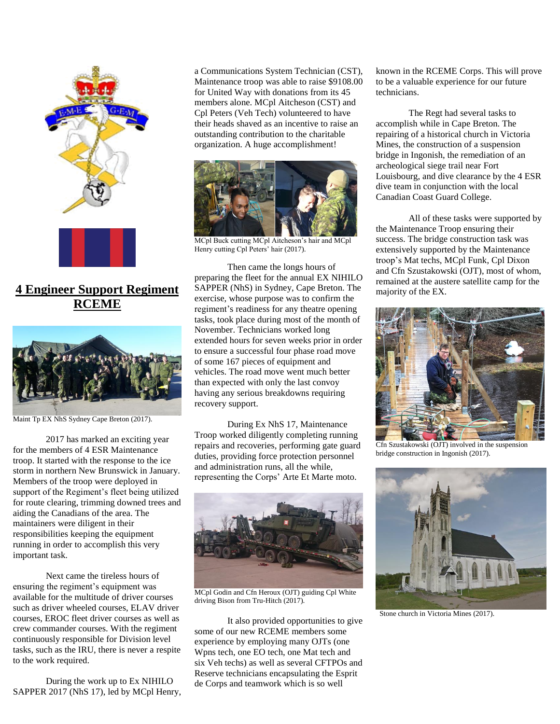

**4 Engineer Support Regiment RCEME**



Maint Tp EX NhS Sydney Cape Breton (2017).

2017 has marked an exciting year for the members of 4 ESR Maintenance troop. It started with the response to the ice storm in northern New Brunswick in January. Members of the troop were deployed in support of the Regiment's fleet being utilized for route clearing, trimming downed trees and aiding the Canadians of the area. The maintainers were diligent in their responsibilities keeping the equipment running in order to accomplish this very important task.

Next came the tireless hours of ensuring the regiment's equipment was available for the multitude of driver courses such as driver wheeled courses, ELAV driver courses, EROC fleet driver courses as well as crew commander courses. With the regiment continuously responsible for Division level tasks, such as the IRU, there is never a respite to the work required.

During the work up to Ex NIHILO SAPPER 2017 (NhS 17), led by MCpl Henry, a Communications System Technician (CST), Maintenance troop was able to raise \$9108.00 for United Way with donations from its 45 members alone. MCpl Aitcheson (CST) and Cpl Peters (Veh Tech) volunteered to have their heads shaved as an incentive to raise an outstanding contribution to the charitable organization. A huge accomplishment!



MCpl Buck cutting MCpl Aitcheson's hair and MCpl Henry cutting Cpl Peters' hair (2017).

Then came the longs hours of preparing the fleet for the annual EX NIHILO SAPPER (NhS) in Sydney, Cape Breton. The exercise, whose purpose was to confirm the regiment's readiness for any theatre opening tasks, took place during most of the month of November. Technicians worked long extended hours for seven weeks prior in order to ensure a successful four phase road move of some 167 pieces of equipment and vehicles. The road move went much better than expected with only the last convoy having any serious breakdowns requiring recovery support.

During Ex NhS 17, Maintenance Troop worked diligently completing running repairs and recoveries, performing gate guard duties, providing force protection personnel and administration runs, all the while, representing the Corps' Arte Et Marte moto.



MCpl Godin and Cfn Heroux (OJT) guiding Cpl White driving Bison from Tru-Hitch (2017).

It also provided opportunities to give some of our new RCEME members some experience by employing many OJTs (one Wpns tech, one EO tech, one Mat tech and six Veh techs) as well as several CFTPOs and Reserve technicians encapsulating the Esprit de Corps and teamwork which is so well

known in the RCEME Corps. This will prove to be a valuable experience for our future technicians.

The Regt had several tasks to accomplish while in Cape Breton. The repairing of a historical church in Victoria Mines, the construction of a suspension bridge in Ingonish, the remediation of an archeological siege trail near Fort Louisbourg, and dive clearance by the 4 ESR dive team in conjunction with the local Canadian Coast Guard College.

All of these tasks were supported by the Maintenance Troop ensuring their success. The bridge construction task was extensively supported by the Maintenance troop's Mat techs, MCpl Funk, Cpl Dixon and Cfn Szustakowski (OJT), most of whom, remained at the austere satellite camp for the majority of the EX.



Cfn Szustakowski (OJT) involved in the suspension bridge construction in Ingonish (2017).



Stone church in Victoria Mines (2017).